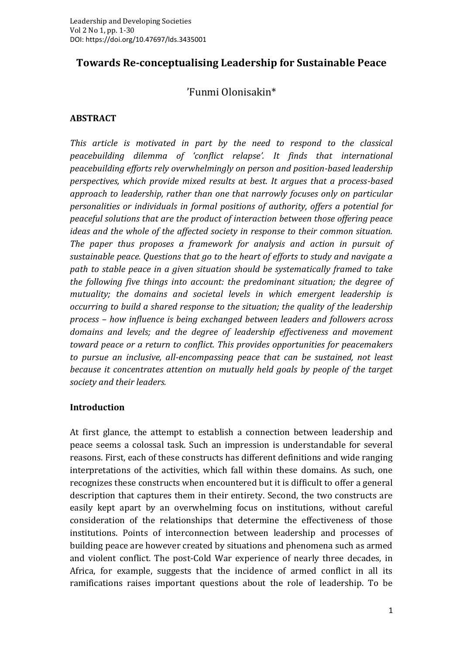# **Towards Re-conceptualising Leadership for Sustainable Peace**

# 'Funmi Olonisakin\*

#### **ABSTRACT**

*This article is motivated in part by the need to respond to the classical peacebuilding dilemma of 'conflict relapse'. It finds that international peacebuilding efforts rely overwhelmingly on person and position-based leadership perspectives, which provide mixed results at best. It argues that a process-based approach to leadership, rather than one that narrowly focuses only on particular personalities or individuals in formal positions of authority, offers a potential for peaceful solutions that are the product of interaction between those offering peace ideas and the whole of the affected society in response to their common situation. The paper thus proposes a framework for analysis and action in pursuit of sustainable peace. Questions that go to the heart of efforts to study and navigate a path to stable peace in a given situation should be systematically framed to take the following five things into account: the predominant situation; the degree of mutuality; the domains and societal levels in which emergent leadership is occurring to build a shared response to the situation; the quality of the leadership process – how influence is being exchanged between leaders and followers across domains and levels; and the degree of leadership effectiveness and movement toward peace or a return to conflict. This provides opportunities for peacemakers to pursue an inclusive, all-encompassing peace that can be sustained, not least because it concentrates attention on mutually held goals by people of the target society and their leaders.*

#### **Introduction**

At first glance, the attempt to establish a connection between leadership and peace seems a colossal task. Such an impression is understandable for several reasons. First, each of these constructs has different definitions and wide ranging interpretations of the activities, which fall within these domains. As such, one recognizes these constructs when encountered but it is difficult to offer a general description that captures them in their entirety. Second, the two constructs are easily kept apart by an overwhelming focus on institutions*,* without careful consideration of the relationships that determine the effectiveness of those institutions. Points of interconnection between leadership and processes of building peace are however created by situations and phenomena such as armed and violent conflict. The post-Cold War experience of nearly three decades, in Africa, for example, suggests that the incidence of armed conflict in all its ramifications raises important questions about the role of leadership. To be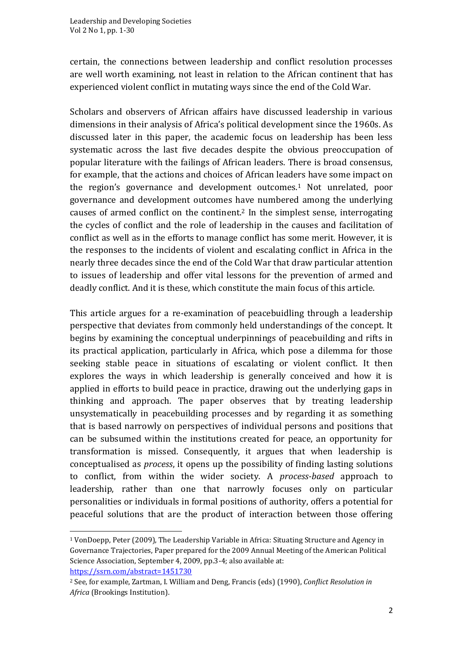certain, the connections between leadership and conflict resolution processes are well worth examining, not least in relation to the African continent that has experienced violent conflict in mutating ways since the end of the Cold War.

Scholars and observers of African affairs have discussed leadership in various dimensions in their analysis of Africa's political development since the 1960s. As discussed later in this paper, the academic focus on leadership has been less systematic across the last five decades despite the obvious preoccupation of popular literature with the failings of African leaders. There is broad consensus, for example, that the actions and choices of African leaders have some impact on the region's governance and development outcomes.<sup>1</sup> Not unrelated, poor governance and development outcomes have numbered among the underlying causes of armed conflict on the continent.<sup>2</sup> In the simplest sense, interrogating the cycles of conflict and the role of leadership in the causes and facilitation of conflict as well as in the efforts to manage conflict has some merit. However, it is the responses to the incidents of violent and escalating conflict in Africa in the nearly three decades since the end of the Cold War that draw particular attention to issues of leadership and offer vital lessons for the prevention of armed and deadly conflict. And it is these, which constitute the main focus of this article.

This article argues for a re-examination of peacebuidling through a leadership perspective that deviates from commonly held understandings of the concept. It begins by examining the conceptual underpinnings of peacebuilding and rifts in its practical application, particularly in Africa, which pose a dilemma for those seeking stable peace in situations of escalating or violent conflict. It then explores the ways in which leadership is generally conceived and how it is applied in efforts to build peace in practice, drawing out the underlying gaps in thinking and approach. The paper observes that by treating leadership unsystematically in peacebuilding processes and by regarding it as something that is based narrowly on perspectives of individual persons and positions that can be subsumed within the institutions created for peace, an opportunity for transformation is missed. Consequently, it argues that when leadership is conceptualised as *process*, it opens up the possibility of finding lasting solutions to conflict, from within the wider society. A *process-based* approach to leadership, rather than one that narrowly focuses only on particular personalities or individuals in formal positions of authority, offers a potential for peaceful solutions that are the product of interaction between those offering

<sup>1</sup> VonDoepp, Peter (2009), The Leadership Variable in Africa: Situating Structure and Agency in Governance Trajectories, Paper prepared for the 2009 Annual Meeting of the American Political Science Association, September 4, 2009, pp.3-4; also available at: <https://ssrn.com/abstract=1451730>

<sup>2</sup> See, for example, Zartman, I. William and Deng, Francis (eds) (1990), *Conflict Resolution in Africa* (Brookings Institution).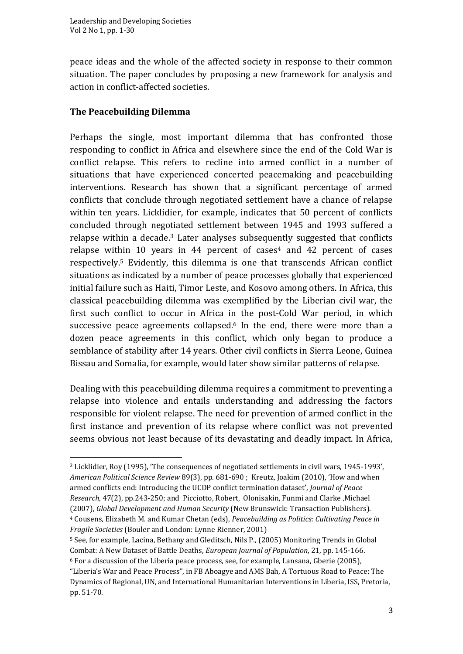peace ideas and the whole of the affected society in response to their common situation. The paper concludes by proposing a new framework for analysis and action in conflict-affected societies.

## **The Peacebuilding Dilemma**

Perhaps the single, most important dilemma that has confronted those responding to conflict in Africa and elsewhere since the end of the Cold War is conflict relapse. This refers to recline into armed conflict in a number of situations that have experienced concerted peacemaking and peacebuilding interventions. Research has shown that a significant percentage of armed conflicts that conclude through negotiated settlement have a chance of relapse within ten years. Licklidier, for example, indicates that 50 percent of conflicts concluded through negotiated settlement between 1945 and 1993 suffered a relapse within a decade.<sup>3</sup> Later analyses subsequently suggested that conflicts relapse within 10 years in 44 percent of cases <sup>4</sup> and 42 percent of cases respectively.<sup>5</sup> Evidently, this dilemma is one that transcends African conflict situations as indicated by a number of peace processes globally that experienced initial failure such as Haiti, Timor Leste, and Kosovo among others. In Africa, this classical peacebuilding dilemma was exemplified by the Liberian civil war, the first such conflict to occur in Africa in the post-Cold War period, in which successive peace agreements collapsed.<sup>6</sup> In the end, there were more than a dozen peace agreements in this conflict, which only began to produce a semblance of stability after 14 years. Other civil conflicts in Sierra Leone, Guinea Bissau and Somalia, for example, would later show similar patterns of relapse.

Dealing with this peacebuilding dilemma requires a commitment to preventing a relapse into violence and entails understanding and addressing the factors responsible for violent relapse. The need for prevention of armed conflict in the first instance and prevention of its relapse where conflict was not prevented seems obvious not least because of its devastating and deadly impact. In Africa,

*Fragile Societies* (Bouler and London: Lynne Rienner, 2001)

<sup>3</sup> Licklidier, Roy (1995), 'The consequences of negotiated settlements in civil wars, 1945-1993', *American Political Science Review* 89(3), pp. 681-690 ; Kreutz, Joakim (2010), 'How and when armed conflicts end: Introducing the UCDP conflict termination dataset', *Journal of Peace Research*, 47(2), pp.243-250; and Picciotto, Robert, Olonisakin, Funmi and Clarke ,Michael (2007), *Global Development and Human Security* (New Brunswick: Transaction Publishers). <sup>4</sup> Cousens, Elizabeth M. and Kumar Chetan (eds), *Peacebuilding as Politics: Cultivating Peace in* 

<sup>5</sup> See, for example, Lacina, Bethany and Gleditsch, Nils P., (2005) Monitoring Trends in Global Combat: A New Dataset of Battle Deaths, *European Journal of Population*, 21, pp. 145-166. <sup>6</sup> For a discussion of the Liberia peace process, see, for example, Lansana, Gberie (2005),

<sup>&</sup>quot;Liberia's War and Peace Process", in FB Aboagye and AMS Bah, A Tortuous Road to Peace: The Dynamics of Regional, UN, and International Humanitarian Interventions in Liberia, ISS, Pretoria, pp. 51-70.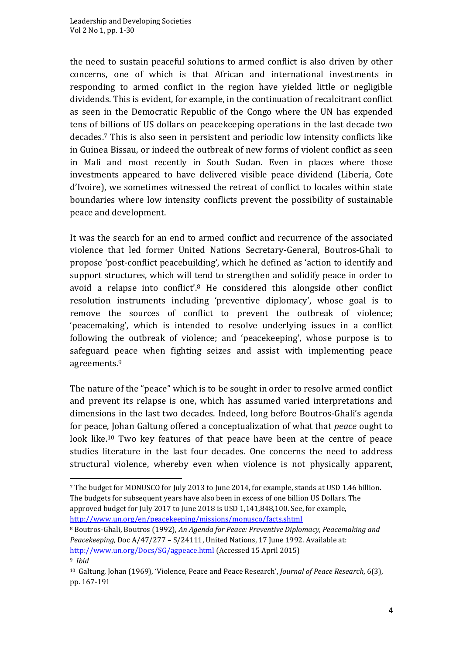the need to sustain peaceful solutions to armed conflict is also driven by other concerns, one of which is that African and international investments in responding to armed conflict in the region have yielded little or negligible dividends. This is evident, for example, in the continuation of recalcitrant conflict as seen in the Democratic Republic of the Congo where the UN has expended tens of billions of US dollars on peacekeeping operations in the last decade two decades.<sup>7</sup> This is also seen in persistent and periodic low intensity conflicts like in Guinea Bissau, or indeed the outbreak of new forms of violent conflict as seen in Mali and most recently in South Sudan. Even in places where those investments appeared to have delivered visible peace dividend (Liberia, Cote d'Ivoire), we sometimes witnessed the retreat of conflict to locales within state boundaries where low intensity conflicts prevent the possibility of sustainable peace and development.

It was the search for an end to armed conflict and recurrence of the associated violence that led former United Nations Secretary-General, Boutros-Ghali to propose 'post-conflict peacebuilding'*,* which he defined as 'action to identify and support structures, which will tend to strengthen and solidify peace in order to avoid a relapse into conflict'.<sup>8</sup> He considered this alongside other conflict resolution instruments including 'preventive diplomacy', whose goal is to remove the sources of conflict to prevent the outbreak of violence; 'peacemaking', which is intended to resolve underlying issues in a conflict following the outbreak of violence; and 'peacekeeping', whose purpose is to safeguard peace when fighting seizes and assist with implementing peace agreements.<sup>9</sup>

The nature of the "peace" which is to be sought in order to resolve armed conflict and prevent its relapse is one, which has assumed varied interpretations and dimensions in the last two decades. Indeed, long before Boutros-Ghali's agenda for peace, Johan Galtung offered a conceptualization of what that *peace* ought to look like.<sup>10</sup> Two key features of that peace have been at the centre of peace studies literature in the last four decades. One concerns the need to address structural violence, whereby even when violence is not physically apparent,

<sup>8</sup> Boutros-Ghali, Boutros (1992), *An Agenda for Peace: Preventive Diplomacy, Peacemaking and Peacekeeping*, Doc A/47/277 – S/24111, United Nations, 17 June 1992. Available at: <http://www.un.org/Docs/SG/agpeace.html> (Accessed 15 April 2015) <sup>9</sup> *Ibid*

<sup>7</sup> The budget for MONUSCO for July 2013 to June 2014, for example, stands at USD 1.46 billion. The budgets for subsequent years have also been in excess of one billion US Dollars. The approved budget for July 2017 to June 2018 is USD 1,141,848,100. See, for example, <http://www.un.org/en/peacekeeping/missions/monusco/facts.shtml>

<sup>10</sup> Galtung, Johan (1969), 'Violence, Peace and Peace Research', *Journal of Peace Research*, 6(3), pp. 167-191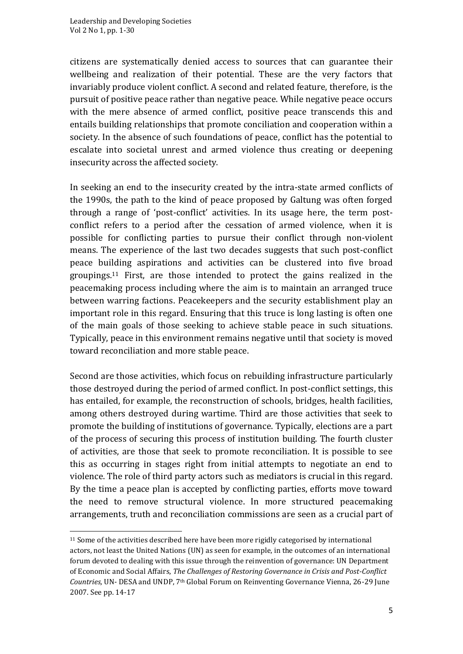citizens are systematically denied access to sources that can guarantee their wellbeing and realization of their potential. These are the very factors that invariably produce violent conflict. A second and related feature, therefore, is the pursuit of positive peace rather than negative peace. While negative peace occurs with the mere absence of armed conflict, positive peace transcends this and entails building relationships that promote conciliation and cooperation within a society. In the absence of such foundations of peace, conflict has the potential to escalate into societal unrest and armed violence thus creating or deepening insecurity across the affected society.

In seeking an end to the insecurity created by the intra-state armed conflicts of the 1990s, the path to the kind of peace proposed by Galtung was often forged through a range of 'post-conflict' activities. In its usage here, the term postconflict refers to a period after the cessation of armed violence, when it is possible for conflicting parties to pursue their conflict through non-violent means. The experience of the last two decades suggests that such post-conflict peace building aspirations and activities can be clustered into five broad groupings.<sup>11</sup> First, are those intended to protect the gains realized in the peacemaking process including where the aim is to maintain an arranged truce between warring factions. Peacekeepers and the security establishment play an important role in this regard. Ensuring that this truce is long lasting is often one of the main goals of those seeking to achieve stable peace in such situations. Typically, peace in this environment remains negative until that society is moved toward reconciliation and more stable peace.

Second are those activities, which focus on rebuilding infrastructure particularly those destroyed during the period of armed conflict. In post-conflict settings, this has entailed, for example, the reconstruction of schools, bridges, health facilities, among others destroyed during wartime. Third are those activities that seek to promote the building of institutions of governance. Typically, elections are a part of the process of securing this process of institution building. The fourth cluster of activities, are those that seek to promote reconciliation. It is possible to see this as occurring in stages right from initial attempts to negotiate an end to violence. The role of third party actors such as mediators is crucial in this regard. By the time a peace plan is accepted by conflicting parties, efforts move toward the need to remove structural violence. In more structured peacemaking arrangements, truth and reconciliation commissions are seen as a crucial part of

<sup>&</sup>lt;sup>11</sup> Some of the activities described here have been more rigidly categorised by international actors, not least the United Nations (UN) as seen for example, in the outcomes of an international forum devoted to dealing with this issue through the reinvention of governance: UN Department of Economic and Social Affairs, *The Challenges of Restoring Governance in Crisis and Post-Conflict Countries,* UN- DESA and UNDP, 7th Global Forum on Reinventing Governance Vienna, 26-29 June 2007. See pp. 14-17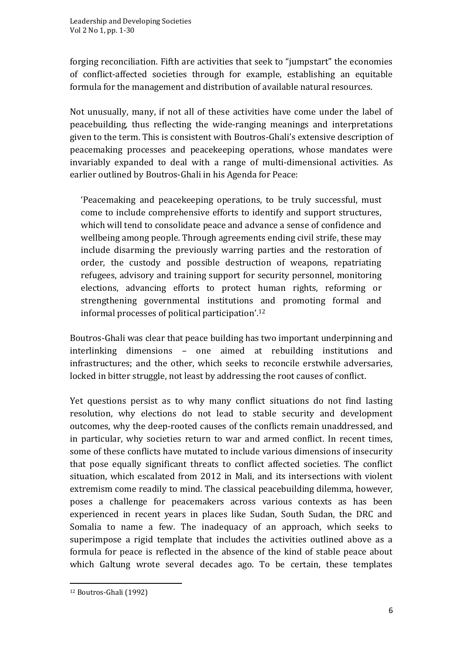forging reconciliation. Fifth are activities that seek to "jumpstart" the economies of conflict-affected societies through for example, establishing an equitable formula for the management and distribution of available natural resources.

Not unusually, many, if not all of these activities have come under the label of peacebuilding*,* thus reflecting the wide-ranging meanings and interpretations given to the term. This is consistent with Boutros-Ghali's extensive description of peacemaking processes and peacekeeping operations, whose mandates were invariably expanded to deal with a range of multi-dimensional activities. As earlier outlined by Boutros-Ghali in his Agenda for Peace:

'Peacemaking and peacekeeping operations, to be truly successful, must come to include comprehensive efforts to identify and support structures, which will tend to consolidate peace and advance a sense of confidence and wellbeing among people. Through agreements ending civil strife, these may include disarming the previously warring parties and the restoration of order, the custody and possible destruction of weapons, repatriating refugees, advisory and training support for security personnel, monitoring elections, advancing efforts to protect human rights, reforming or strengthening governmental institutions and promoting formal and informal processes of political participation'. 12

Boutros-Ghali was clear that peace building has two important underpinning and interlinking dimensions – one aimed at rebuilding institutions and infrastructures; and the other, which seeks to reconcile erstwhile adversaries, locked in bitter struggle, not least by addressing the root causes of conflict.

Yet questions persist as to why many conflict situations do not find lasting resolution, why elections do not lead to stable security and development outcomes, why the deep-rooted causes of the conflicts remain unaddressed, and in particular, why societies return to war and armed conflict. In recent times, some of these conflicts have mutated to include various dimensions of insecurity that pose equally significant threats to conflict affected societies. The conflict situation, which escalated from 2012 in Mali, and its intersections with violent extremism come readily to mind. The classical peacebuilding dilemma, however, poses a challenge for peacemakers across various contexts as has been experienced in recent years in places like Sudan, South Sudan, the DRC and Somalia to name a few. The inadequacy of an approach, which seeks to superimpose a rigid template that includes the activities outlined above as a formula for peace is reflected in the absence of the kind of stable peace about which Galtung wrote several decades ago. To be certain, these templates

<sup>12</sup> Boutros-Ghali (1992)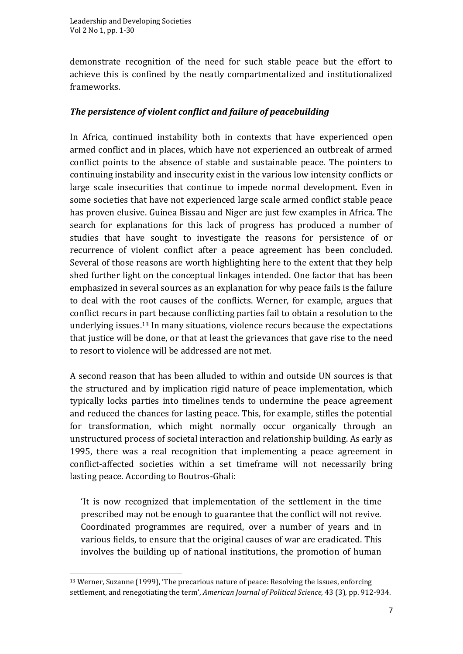demonstrate recognition of the need for such stable peace but the effort to achieve this is confined by the neatly compartmentalized and institutionalized frameworks.

## *The persistence of violent conflict and failure of peacebuilding*

In Africa, continued instability both in contexts that have experienced open armed conflict and in places, which have not experienced an outbreak of armed conflict points to the absence of stable and sustainable peace. The pointers to continuing instability and insecurity exist in the various low intensity conflicts or large scale insecurities that continue to impede normal development. Even in some societies that have not experienced large scale armed conflict stable peace has proven elusive. Guinea Bissau and Niger are just few examples in Africa. The search for explanations for this lack of progress has produced a number of studies that have sought to investigate the reasons for persistence of or recurrence of violent conflict after a peace agreement has been concluded. Several of those reasons are worth highlighting here to the extent that they help shed further light on the conceptual linkages intended. One factor that has been emphasized in several sources as an explanation for why peace fails is the failure to deal with the root causes of the conflicts. Werner, for example, argues that conflict recurs in part because conflicting parties fail to obtain a resolution to the underlying issues.<sup>13</sup> In many situations, violence recurs because the expectations that justice will be done, or that at least the grievances that gave rise to the need to resort to violence will be addressed are not met.

A second reason that has been alluded to within and outside UN sources is that the structured and by implication rigid nature of peace implementation, which typically locks parties into timelines tends to undermine the peace agreement and reduced the chances for lasting peace. This, for example, stifles the potential for transformation, which might normally occur organically through an unstructured process of societal interaction and relationship building. As early as 1995, there was a real recognition that implementing a peace agreement in conflict-affected societies within a set timeframe will not necessarily bring lasting peace. According to Boutros-Ghali:

'It is now recognized that implementation of the settlement in the time prescribed may not be enough to guarantee that the conflict will not revive. Coordinated programmes are required, over a number of years and in various fields, to ensure that the original causes of war are eradicated. This involves the building up of national institutions, the promotion of human

<sup>13</sup> Werner, Suzanne (1999), 'The precarious nature of peace: Resolving the issues, enforcing settlement, and renegotiating the term', *American Journal of Political Science,* 43 (3), pp. 912-934.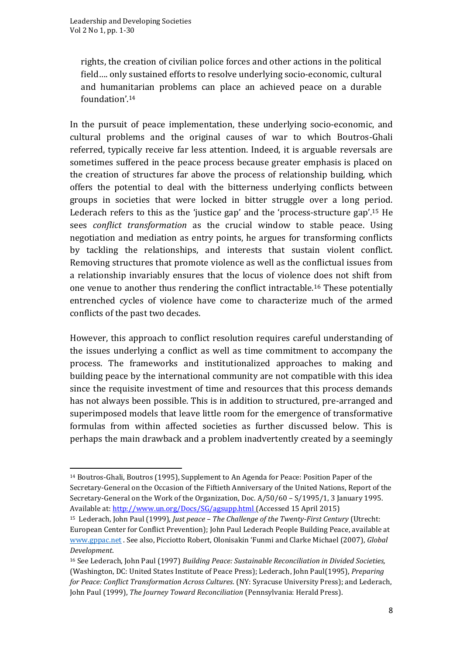rights, the creation of civilian police forces and other actions in the political field…. only sustained efforts to resolve underlying socio-economic, cultural and humanitarian problems can place an achieved peace on a durable foundation'. 14

In the pursuit of peace implementation, these underlying socio-economic, and cultural problems and the original causes of war to which Boutros-Ghali referred, typically receive far less attention. Indeed, it is arguable reversals are sometimes suffered in the peace process because greater emphasis is placed on the creation of structures far above the process of relationship building, which offers the potential to deal with the bitterness underlying conflicts between groups in societies that were locked in bitter struggle over a long period. Lederach refers to this as the 'justice gap' and the 'process-structure gap'. <sup>15</sup> He sees *conflict transformation* as the crucial window to stable peace. Using negotiation and mediation as entry points, he argues for transforming conflicts by tackling the relationships, and interests that sustain violent conflict. Removing structures that promote violence as well as the conflictual issues from a relationship invariably ensures that the locus of violence does not shift from one venue to another thus rendering the conflict intractable.<sup>16</sup> These potentially entrenched cycles of violence have come to characterize much of the armed conflicts of the past two decades.

However, this approach to conflict resolution requires careful understanding of the issues underlying a conflict as well as time commitment to accompany the process. The frameworks and institutionalized approaches to making and building peace by the international community are not compatible with this idea since the requisite investment of time and resources that this process demands has not always been possible. This is in addition to structured, pre-arranged and superimposed models that leave little room for the emergence of transformative formulas from within affected societies as further discussed below. This is perhaps the main drawback and a problem inadvertently created by a seemingly

<sup>14</sup> Boutros-Ghali, Boutros (1995), Supplement to An Agenda for Peace: Position Paper of the Secretary-General on the Occasion of the Fiftieth Anniversary of the United Nations, Report of the Secretary-General on the Work of the Organization, Doc. A/50/60 – S/1995/1, 3 January 1995. Available at:<http://www.un.org/Docs/SG/agsupp.html> (Accessed 15 April 2015)

<sup>15</sup> Lederach, John Paul (1999), *Just peace – The Challenge of the Twenty-First Century* (Utrecht: European Center for Conflict Prevention); John Paul Lederach People Building Peace, available at [www.gppac.net](http://www.gppac.net/) . See also, Picciotto Robert, Olonisakin 'Funmi and Clarke Michael (2007), *Global Development*.

<sup>16</sup> See Lederach, John Paul (1997) *Building Peace: Sustainable Reconciliation in Divided Societies,* (Washington, DC: United States Institute of Peace Press); Lederach, John Paul(1995), *Preparing for Peace: Conflict Transformation Across Cultures*. (NY: Syracuse University Press); and Lederach, John Paul (1999), *The Journey Toward Reconciliation* (Pennsylvania: Herald Press).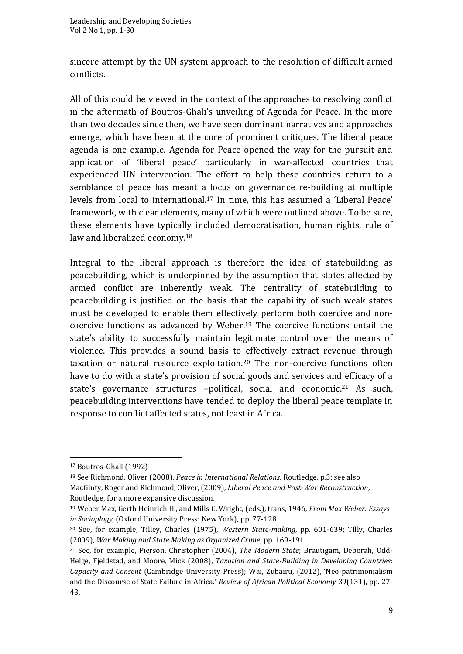sincere attempt by the UN system approach to the resolution of difficult armed conflicts.

All of this could be viewed in the context of the approaches to resolving conflict in the aftermath of Boutros-Ghali's unveiling of Agenda for Peace. In the more than two decades since then, we have seen dominant narratives and approaches emerge, which have been at the core of prominent critiques. The liberal peace agenda is one example. Agenda for Peace opened the way for the pursuit and application of 'liberal peace' particularly in war-affected countries that experienced UN intervention. The effort to help these countries return to a semblance of peace has meant a focus on governance re-building at multiple levels from local to international.<sup>17</sup> In time, this has assumed a 'Liberal Peace' framework, with clear elements, many of which were outlined above. To be sure, these elements have typically included democratisation, human rights, rule of law and liberalized economy.<sup>18</sup>

Integral to the liberal approach is therefore the idea of statebuilding as peacebuilding, which is underpinned by the assumption that states affected by armed conflict are inherently weak. The centrality of statebuilding to peacebuilding is justified on the basis that the capability of such weak states must be developed to enable them effectively perform both coercive and noncoercive functions as advanced by Weber.<sup>19</sup> The coercive functions entail the state's ability to successfully maintain legitimate control over the means of violence. This provides a sound basis to effectively extract revenue through taxation or natural resource exploitation.<sup>20</sup> The non-coercive functions often have to do with a state's provision of social goods and services and efficacy of a state's governance structures -political, social and economic.<sup>21</sup> As such, peacebuilding interventions have tended to deploy the liberal peace template in response to conflict affected states, not least in Africa.

<sup>17</sup> Boutros-Ghali (1992)

<sup>18</sup> See Richmond, Oliver (2008), *Peace in International Relations*, Routledge, p.3; see also MacGinty, Roger and Richmond, Oliver, (2009), *Liberal Peace and Post-War Reconstruction*, Routledge, for a more expansive discussion.

<sup>19</sup> Weber Max, Gerth Heinrich H., and Mills C. Wright, (eds.), trans, 1946, *From Max Weber: Essays in Socioplogy,* (Oxford University Press: New York), pp. 77-128

<sup>20</sup> See, for example, Tilley, Charles (1975), *Western State-making*, pp. 601-639; Tilly, Charles (2009), *War Making and State Making as Organized Crime*, pp. 169-191

<sup>21</sup> See, for example, Pierson, Christopher (2004), *The Modern State*; Brautigam, Deborah, Odd-Helge, Fjeldstad, and Moore, Mick (2008), *Taxation and State-Building in Developing Countries: Capacity and Consent* (Cambridge University Press); Wai, Zubairu, (2012), 'Neo-patrimonialism and the Discourse of State Failure in Africa.' *Review of African Political Economy* 39(131), pp. 27- 43.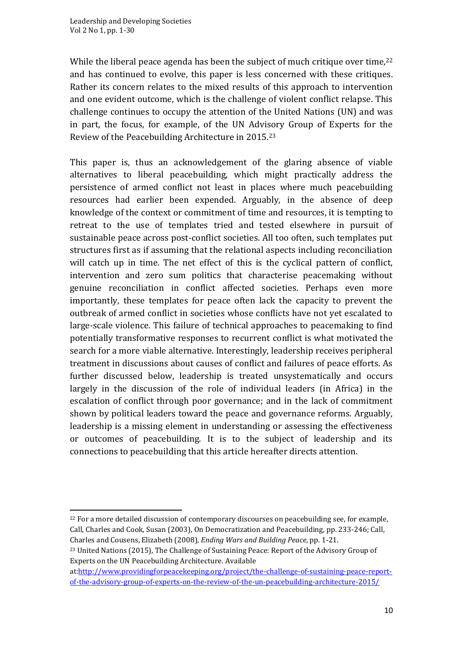While the liberal peace agenda has been the subject of much critique over time,  $22$ and has continued to evolve, this paper is less concerned with these critiques. Rather its concern relates to the mixed results of this approach to intervention and one evident outcome, which is the challenge of violent conflict relapse. This challenge continues to occupy the attention of the United Nations (UN) and was in part, the focus, for example, of the UN Advisory Group of Experts for the Review of the Peacebuilding Architecture in 2015.<sup>23</sup>

This paper is, thus an acknowledgement of the glaring absence of viable alternatives to liberal peacebuilding, which might practically address the persistence of armed conflict not least in places where much peacebuilding resources had earlier been expended. Arguably, in the absence of deep knowledge of the context or commitment of time and resources, it is tempting to retreat to the use of templates tried and tested elsewhere in pursuit of sustainable peace across post-conflict societies. All too often, such templates put structures first as if assuming that the relational aspects including reconciliation will catch up in time. The net effect of this is the cyclical pattern of conflict, intervention and zero sum politics that characterise peacemaking without genuine reconciliation in conflict affected societies. Perhaps even more importantly, these templates for peace often lack the capacity to prevent the outbreak of armed conflict in societies whose conflicts have not yet escalated to large-scale violence. This failure of technical approaches to peacemaking to find potentially transformative responses to recurrent conflict is what motivated the search for a more viable alternative. Interestingly, leadership receives peripheral treatment in discussions about causes of conflict and failures of peace efforts. As further discussed below, leadership is treated unsystematically and occurs largely in the discussion of the role of individual leaders (in Africa) in the escalation of conflict through poor governance; and in the lack of commitment shown by political leaders toward the peace and governance reforms. Arguably, leadership is a missing element in understanding or assessing the effectiveness or outcomes of peacebuilding. It is to the subject of leadership and its connections to peacebuilding that this article hereafter directs attention.

 $22$  For a more detailed discussion of contemporary discourses on peacebuilding see, for example, Call, Charles and Cook, Susan (2003), On Democratization and Peacebuilding, pp. 233-246; Call, Charles and Cousens, Elizabeth (2008), *Ending Wars and Building Peace*, pp. 1-21.

<sup>&</sup>lt;sup>23</sup> United Nations (2015), The Challenge of Sustaining Peace: Report of the Advisory Group of Experts on the UN Peacebuilding Architecture*.* Available

at[:http://www.providingforpeacekeeping.org/project/the-challenge-of-sustaining-peace-report](http://www.providingforpeacekeeping.org/project/the-challenge-of-sustaining-peace-report-of-the-advisory-group-of-experts-on-the-review-of-the-un-peacebuilding-architecture-2015/)[of-the-advisory-group-of-experts-on-the-review-of-the-un-peacebuilding-architecture-2015/](http://www.providingforpeacekeeping.org/project/the-challenge-of-sustaining-peace-report-of-the-advisory-group-of-experts-on-the-review-of-the-un-peacebuilding-architecture-2015/)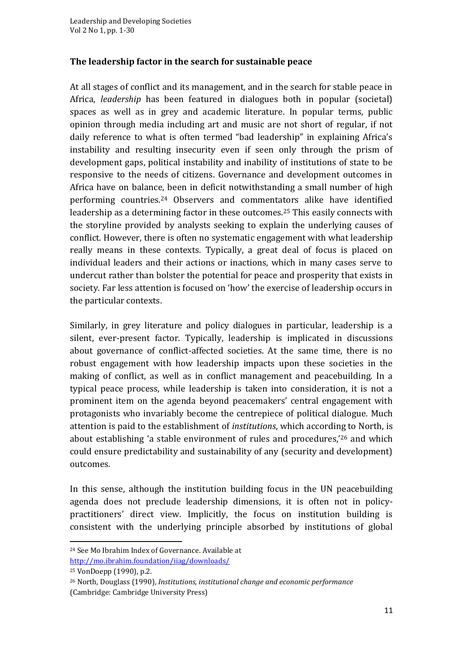#### **The leadership factor in the search for sustainable peace**

At all stages of conflict and its management, and in the search for stable peace in Africa, *leadership* has been featured in dialogues both in popular (societal) spaces as well as in grey and academic literature. In popular terms, public opinion through media including art and music are not short of regular, if not daily reference to what is often termed "bad leadership" in explaining Africa's instability and resulting insecurity even if seen only through the prism of development gaps, political instability and inability of institutions of state to be responsive to the needs of citizens. Governance and development outcomes in Africa have on balance, been in deficit notwithstanding a small number of high performing countries.<sup>24</sup> Observers and commentators alike have identified leadership as a determining factor in these outcomes.<sup>25</sup> This easily connects with the storyline provided by analysts seeking to explain the underlying causes of conflict. However, there is often no systematic engagement with what leadership really means in these contexts. Typically, a great deal of focus is placed on individual leaders and their actions or inactions, which in many cases serve to undercut rather than bolster the potential for peace and prosperity that exists in society. Far less attention is focused on 'how' the exercise of leadership occurs in the particular contexts.

Similarly, in grey literature and policy dialogues in particular, leadership is a silent, ever-present factor. Typically, leadership is implicated in discussions about governance of conflict-affected societies. At the same time, there is no robust engagement with how leadership impacts upon these societies in the making of conflict, as well as in conflict management and peacebuilding. In a typical peace process, while leadership is taken into consideration, it is not a prominent item on the agenda beyond peacemakers' central engagement with protagonists who invariably become the centrepiece of political dialogue. Much attention is paid to the establishment of *institutions*, which according to North, is about establishing 'a stable environment of rules and procedures,'<sup>26</sup> and which could ensure predictability and sustainability of any (security and development) outcomes.

In this sense, although the institution building focus in the UN peacebuilding agenda does not preclude leadership dimensions, it is often not in policypractitioners' direct view. Implicitly, the focus on institution building is consistent with the underlying principle absorbed by institutions of global

<sup>24</sup> See Mo Ibrahim Index of Governance. Available at <http://mo.ibrahim.foundation/iiag/downloads/>

<sup>25</sup> VonDoepp (1990), p.2.

<sup>26</sup> North, Douglass (1990), *Institutions, institutional change and economic performance* (Cambridge: Cambridge University Press)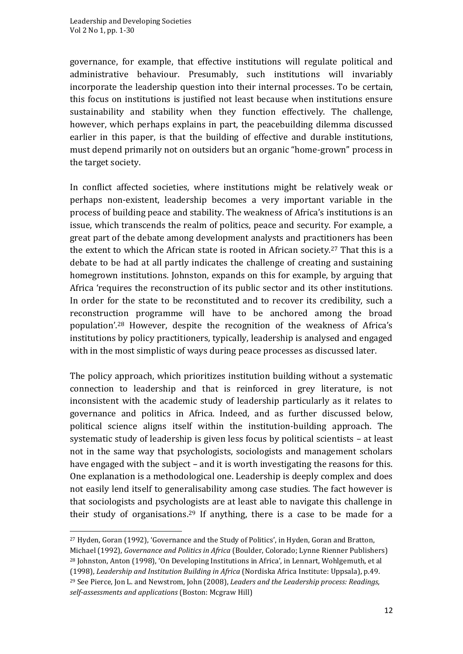governance, for example, that effective institutions will regulate political and administrative behaviour. Presumably, such institutions will invariably incorporate the leadership question into their internal processes. To be certain, this focus on institutions is justified not least because when institutions ensure sustainability and stability when they function effectively. The challenge, however, which perhaps explains in part, the peacebuilding dilemma discussed earlier in this paper, is that the building of effective and durable institutions, must depend primarily not on outsiders but an organic "home-grown" process in the target society.

In conflict affected societies, where institutions might be relatively weak or perhaps non-existent, leadership becomes a very important variable in the process of building peace and stability. The weakness of Africa's institutions is an issue, which transcends the realm of politics, peace and security. For example, a great part of the debate among development analysts and practitioners has been the extent to which the African state is rooted in African society.<sup>27</sup> That this is a debate to be had at all partly indicates the challenge of creating and sustaining homegrown institutions. Johnston, expands on this for example, by arguing that Africa 'requires the reconstruction of its public sector and its other institutions. In order for the state to be reconstituted and to recover its credibility, such a reconstruction programme will have to be anchored among the broad population'.<sup>28</sup> However, despite the recognition of the weakness of Africa's institutions by policy practitioners, typically, leadership is analysed and engaged with in the most simplistic of ways during peace processes as discussed later.

The policy approach, which prioritizes institution building without a systematic connection to leadership and that is reinforced in grey literature, is not inconsistent with the academic study of leadership particularly as it relates to governance and politics in Africa. Indeed, and as further discussed below, political science aligns itself within the institution-building approach. The systematic study of leadership is given less focus by political scientists – at least not in the same way that psychologists, sociologists and management scholars have engaged with the subject – and it is worth investigating the reasons for this. One explanation is a methodological one. Leadership is deeply complex and does not easily lend itself to generalisability among case studies. The fact however is that sociologists and psychologists are at least able to navigate this challenge in their study of organisations.<sup>29</sup> If anything, there is a case to be made for a

<sup>27</sup> Hyden, Goran (1992), 'Governance and the Study of Politics', in Hyden, Goran and Bratton,

Michael (1992), *Governance and Politics in Africa* (Boulder, Colorado; Lynne Rienner Publishers)

<sup>28</sup> Johnston, Anton (1998), 'On Developing Institutions in Africa', in Lennart, Wohlgemuth, et al (1998), *Leadership and Institution Building in Africa* (Nordiska Africa Institute: Uppsala), p.49.

<sup>29</sup> See Pierce, Jon L. and Newstrom, John (2008), *Leaders and the Leadership process: Readings, self-assessments and applications* (Boston: Mcgraw Hill)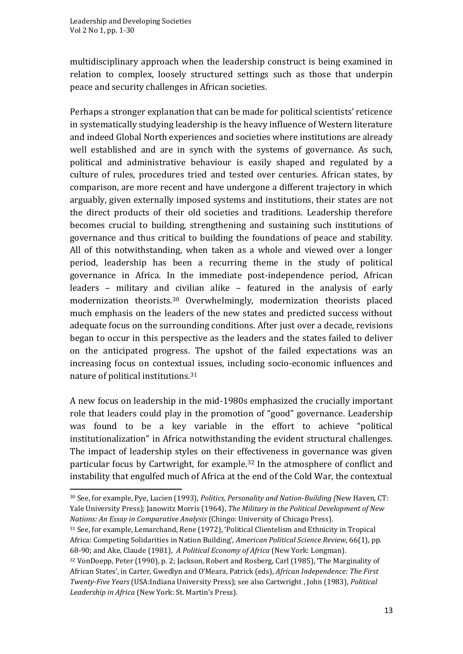multidisciplinary approach when the leadership construct is being examined in relation to complex, loosely structured settings such as those that underpin peace and security challenges in African societies.

Perhaps a stronger explanation that can be made for political scientists' reticence in systematically studying leadership is the heavy influence of Western literature and indeed Global North experiences and societies where institutions are already well established and are in synch with the systems of governance. As such, political and administrative behaviour is easily shaped and regulated by a culture of rules, procedures tried and tested over centuries. African states, by comparison, are more recent and have undergone a different trajectory in which arguably, given externally imposed systems and institutions, their states are not the direct products of their old societies and traditions. Leadership therefore becomes crucial to building, strengthening and sustaining such institutions of governance and thus critical to building the foundations of peace and stability. All of this notwithstanding, when taken as a whole and viewed over a longer period, leadership has been a recurring theme in the study of political governance in Africa. In the immediate post-independence period, African leaders – military and civilian alike – featured in the analysis of early modernization theorists.<sup>30</sup> Overwhelmingly, modernization theorists placed much emphasis on the leaders of the new states and predicted success without adequate focus on the surrounding conditions. After just over a decade, revisions began to occur in this perspective as the leaders and the states failed to deliver on the anticipated progress. The upshot of the failed expectations was an increasing focus on contextual issues, including socio-economic influences and nature of political institutions.<sup>31</sup>

A new focus on leadership in the mid-1980s emphasized the crucially important role that leaders could play in the promotion of "good" governance. Leadership was found to be a key variable in the effort to achieve "political institutionalization" in Africa notwithstanding the evident structural challenges. The impact of leadership styles on their effectiveness in governance was given particular focus by Cartwright, for example.<sup>32</sup> In the atmosphere of conflict and instability that engulfed much of Africa at the end of the Cold War, the contextual

<sup>30</sup> See, for example, Pye, Lucien (1993), *Politics, Personality and Nation-Building (*New Haven, CT: Yale University Press); Janowitz Morris (1964), *The Military in the Political Development of New Nations: An Essay in Comparative Analysis* (Chingo: University of Chicago Press).

<sup>31</sup> See, for example, Lemarchand, Rene (1972), 'Political Clientelism and Ethnicity in Tropical Africa: Competing Solidarities in Nation Building', *American Political Science Review*, 66(1), pp. 68-90; and Ake, Claude (1981), *A Political Economy of Africa* (New York: Longman).

<sup>32</sup> VonDoepp, Peter (1990), p. 2; Jackson, Robert and Rosberg, Carl (1985), 'The Marginality of African States', in Carter, Gwedlyn and O'Meara, Patrick (eds), *African Independence: The First Twenty-Five Years* (USA:Indiana University Press); see also Cartwright , John (1983), *Political Leadership in Africa* (New York: St. Martin's Press).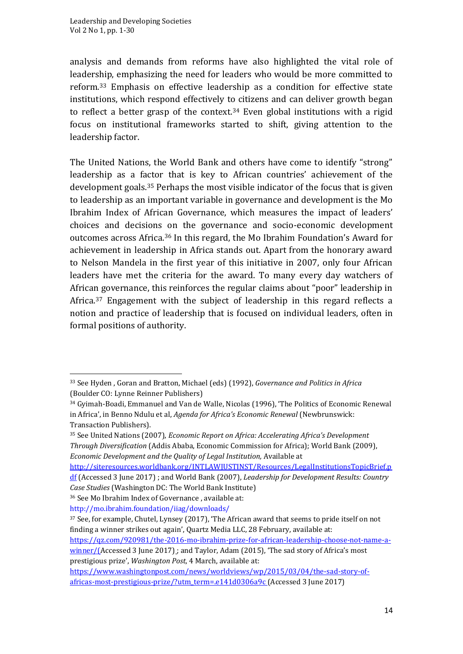analysis and demands from reforms have also highlighted the vital role of leadership, emphasizing the need for leaders who would be more committed to reform.<sup>33</sup> Emphasis on effective leadership as a condition for effective state institutions, which respond effectively to citizens and can deliver growth began to reflect a better grasp of the context. <sup>34</sup> Even global institutions with a rigid focus on institutional frameworks started to shift, giving attention to the leadership factor.

The United Nations, the World Bank and others have come to identify "strong" leadership as a factor that is key to African countries' achievement of the development goals.<sup>35</sup> Perhaps the most visible indicator of the focus that is given to leadership as an important variable in governance and development is the Mo Ibrahim Index of African Governance, which measures the impact of leaders' choices and decisions on the governance and socio-economic development outcomes across Africa.<sup>36</sup> In this regard, the Mo Ibrahim Foundation's Award for achievement in leadership in Africa stands out. Apart from the honorary award to Nelson Mandela in the first year of this initiative in 2007, only four African leaders have met the criteria for the award. To many every day watchers of African governance, this reinforces the regular claims about "poor" leadership in Africa.<sup>37</sup> Engagement with the subject of leadership in this regard reflects a notion and practice of leadership that is focused on individual leaders, often in formal positions of authority.

[http://siteresources.worldbank.org/INTLAWJUSTINST/Resources/LegalInstitutionsTopicBrief.p](http://siteresources.worldbank.org/INTLAWJUSTINST/Resources/LegalInstitutionsTopicBrief.pdf) [df](http://siteresources.worldbank.org/INTLAWJUSTINST/Resources/LegalInstitutionsTopicBrief.pdf) (Accessed 3 June 2017) ; and World Bank (2007), *Leadership for Development Results: Country Case Studies* (Washington DC: The World Bank Institute)

[https://qz.com/920981/the-2016-mo-ibrahim-prize-for-african-leadership-choose-not-name-a](https://qz.com/920981/the-2016-mo-ibrahim-prize-for-african-leadership-choose-not-name-a-winner/)[winner/\(](https://qz.com/920981/the-2016-mo-ibrahim-prize-for-african-leadership-choose-not-name-a-winner/)Accessed 3 June 2017) ; and Taylor, Adam (2015), 'The sad story of Africa's most prestigious prize', *Washington Post*, 4 March, available at:

<sup>33</sup> See Hyden , Goran and Bratton, Michael (eds) (1992), *Governance and Politics in Africa*  (Boulder CO: Lynne Reinner Publishers)

<sup>34</sup> Gyimah-Boadi, Emmanuel and Van de Walle, Nicolas (1996), 'The Politics of Economic Renewal in Africa', in Benno Ndulu et al, *Agenda for Africa's Economic Renewal* (Newbrunswick: Transaction Publishers).

<sup>35</sup> See United Nations (2007), *Economic Report on Africa: Accelerating Africa's Development Through Diversification* (Addis Ababa, Economic Commission for Africa); World Bank (2009), *Economic Development and the Quality of Legal Institution,* Available at

<sup>36</sup> See Mo Ibrahim Index of Governance , available at:

<http://mo.ibrahim.foundation/iiag/downloads/>

<sup>37</sup> See, for example, Chutel, Lynsey (2017), 'The African award that seems to pride itself on not finding a winner strikes out again', Quartz Media LLC, 28 February, available at:

[https://www.washingtonpost.com/news/worldviews/wp/2015/03/04/the-sad-story-of](https://www.washingtonpost.com/news/worldviews/wp/2015/03/04/the-sad-story-of-africas-most-prestigious-prize/?utm_term=.e141d0306a9c)[africas-most-prestigious-prize/?utm\\_term=.e141d0306a9c](https://www.washingtonpost.com/news/worldviews/wp/2015/03/04/the-sad-story-of-africas-most-prestigious-prize/?utm_term=.e141d0306a9c) (Accessed 3 June 2017)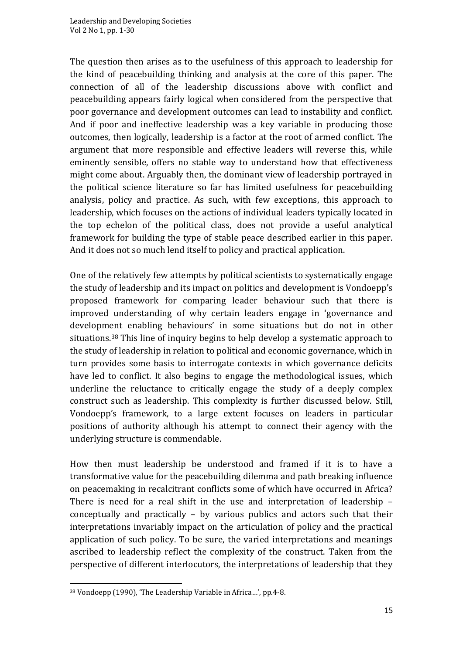The question then arises as to the usefulness of this approach to leadership for the kind of peacebuilding thinking and analysis at the core of this paper. The connection of all of the leadership discussions above with conflict and peacebuilding appears fairly logical when considered from the perspective that poor governance and development outcomes can lead to instability and conflict. And if poor and ineffective leadership was a key variable in producing those outcomes, then logically, leadership is a factor at the root of armed conflict. The argument that more responsible and effective leaders will reverse this, while eminently sensible, offers no stable way to understand how that effectiveness might come about. Arguably then, the dominant view of leadership portrayed in the political science literature so far has limited usefulness for peacebuilding analysis, policy and practice. As such, with few exceptions, this approach to leadership, which focuses on the actions of individual leaders typically located in the top echelon of the political class, does not provide a useful analytical framework for building the type of stable peace described earlier in this paper. And it does not so much lend itself to policy and practical application.

One of the relatively few attempts by political scientists to systematically engage the study of leadership and its impact on politics and development is Vondoepp's proposed framework for comparing leader behaviour such that there is improved understanding of why certain leaders engage in 'governance and development enabling behaviours' in some situations but do not in other situations.<sup>38</sup> This line of inquiry begins to help develop a systematic approach to the study of leadership in relation to political and economic governance, which in turn provides some basis to interrogate contexts in which governance deficits have led to conflict. It also begins to engage the methodological issues, which underline the reluctance to critically engage the study of a deeply complex construct such as leadership. This complexity is further discussed below. Still, Vondoepp's framework, to a large extent focuses on leaders in particular positions of authority although his attempt to connect their agency with the underlying structure is commendable.

How then must leadership be understood and framed if it is to have a transformative value for the peacebuilding dilemma and path breaking influence on peacemaking in recalcitrant conflicts some of which have occurred in Africa? There is need for a real shift in the use and interpretation of leadership – conceptually and practically – by various publics and actors such that their interpretations invariably impact on the articulation of policy and the practical application of such policy. To be sure, the varied interpretations and meanings ascribed to leadership reflect the complexity of the construct. Taken from the perspective of different interlocutors, the interpretations of leadership that they

<sup>38</sup> Vondoepp (1990), 'The Leadership Variable in Africa…', pp.4-8.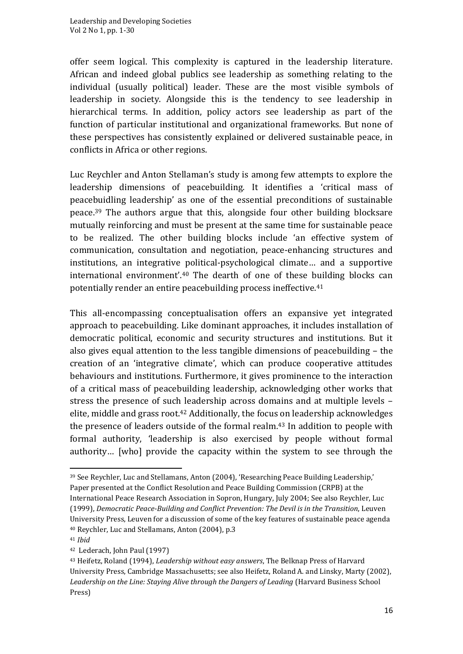offer seem logical. This complexity is captured in the leadership literature. African and indeed global publics see leadership as something relating to the individual (usually political) leader. These are the most visible symbols of leadership in society. Alongside this is the tendency to see leadership in hierarchical terms. In addition, policy actors see leadership as part of the function of particular institutional and organizational frameworks. But none of these perspectives has consistently explained or delivered sustainable peace, in conflicts in Africa or other regions.

Luc Reychler and Anton Stellaman's study is among few attempts to explore the leadership dimensions of peacebuilding. It identifies a 'critical mass of peacebuidling leadership' as one of the essential preconditions of sustainable peace.<sup>39</sup> The authors argue that this, alongside four other building blocksare mutually reinforcing and must be present at the same time for sustainable peace to be realized. The other building blocks include 'an effective system of communication, consultation and negotiation, peace-enhancing structures and institutions, an integrative political-psychological climate… and a supportive international environment'.<sup>40</sup> The dearth of one of these building blocks can potentially render an entire peacebuilding process ineffective.<sup>41</sup>

This all-encompassing conceptualisation offers an expansive yet integrated approach to peacebuilding. Like dominant approaches, it includes installation of democratic political, economic and security structures and institutions. But it also gives equal attention to the less tangible dimensions of peacebuilding – the creation of an 'integrative climate', which can produce cooperative attitudes behaviours and institutions. Furthermore, it gives prominence to the interaction of a critical mass of peacebuilding leadership, acknowledging other works that stress the presence of such leadership across domains and at multiple levels – elite, middle and grass root.<sup>42</sup> Additionally, the focus on leadership acknowledges the presence of leaders outside of the formal realm.<sup>43</sup> In addition to people with formal authority, 'leadership is also exercised by people without formal authority… [who] provide the capacity within the system to see through the

<sup>39</sup> See Reychler, Luc and Stellamans, Anton (2004), 'Researching Peace Building Leadership,' Paper presented at the Conflict Resolution and Peace Building Commission (CRPB) at the International Peace Research Association in Sopron, Hungary, July 2004; See also Reychler, Luc (1999), *Democratic Peace-Building and Conflict Prevention: The Devil is in the Transition*, Leuven University Press, Leuven for a discussion of some of the key features of sustainable peace agenda <sup>40</sup> Reychler, Luc and Stellamans, Anton (2004), p.3

<sup>41</sup> *Ibid*

<sup>42</sup> Lederach, John Paul (1997)

<sup>43</sup> Heifetz, Roland (1994), *Leadership without easy answers*, The Belknap Press of Harvard University Press, Cambridge Massachusetts; see also Heifetz, Roland A. and Linsky, Marty (2002), *Leadership on the Line: Staying Alive through the Dangers of Leading* (Harvard Business School Press)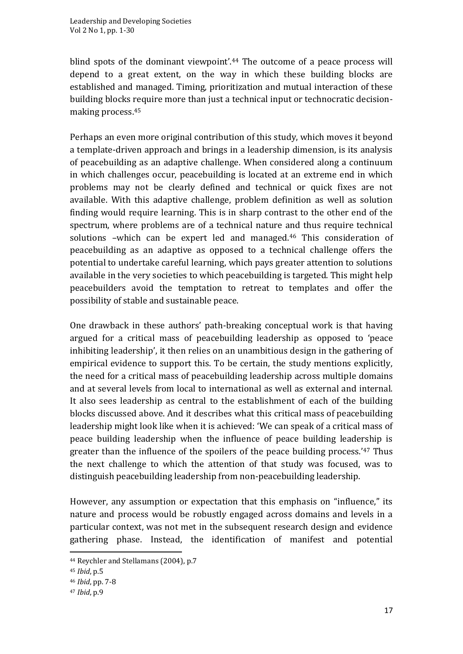blind spots of the dominant viewpoint'.<sup>44</sup> The outcome of a peace process will depend to a great extent, on the way in which these building blocks are established and managed. Timing, prioritization and mutual interaction of these building blocks require more than just a technical input or technocratic decisionmaking process.<sup>45</sup>

Perhaps an even more original contribution of this study, which moves it beyond a template-driven approach and brings in a leadership dimension, is its analysis of peacebuilding as an adaptive challenge. When considered along a continuum in which challenges occur, peacebuilding is located at an extreme end in which problems may not be clearly defined and technical or quick fixes are not available. With this adaptive challenge, problem definition as well as solution finding would require learning. This is in sharp contrast to the other end of the spectrum, where problems are of a technical nature and thus require technical solutions -which can be expert led and managed.<sup>46</sup> This consideration of peacebuilding as an adaptive as opposed to a technical challenge offers the potential to undertake careful learning, which pays greater attention to solutions available in the very societies to which peacebuilding is targeted. This might help peacebuilders avoid the temptation to retreat to templates and offer the possibility of stable and sustainable peace.

One drawback in these authors' path-breaking conceptual work is that having argued for a critical mass of peacebuilding leadership as opposed to 'peace inhibiting leadership', it then relies on an unambitious design in the gathering of empirical evidence to support this. To be certain, the study mentions explicitly, the need for a critical mass of peacebuilding leadership across multiple domains and at several levels from local to international as well as external and internal. It also sees leadership as central to the establishment of each of the building blocks discussed above. And it describes what this critical mass of peacebuilding leadership might look like when it is achieved: 'We can speak of a critical mass of peace building leadership when the influence of peace building leadership is greater than the influence of the spoilers of the peace building process.'<sup>47</sup> Thus the next challenge to which the attention of that study was focused, was to distinguish peacebuilding leadership from non-peacebuilding leadership.

However, any assumption or expectation that this emphasis on "influence," its nature and process would be robustly engaged across domains and levels in a particular context, was not met in the subsequent research design and evidence gathering phase. Instead, the identification of manifest and potential

<sup>44</sup> Reychler and Stellamans (2004), p.7

<sup>45</sup> *Ibid*, p.5

<sup>46</sup> *Ibid*, pp. 7-8

<sup>47</sup> *Ibid*, p.9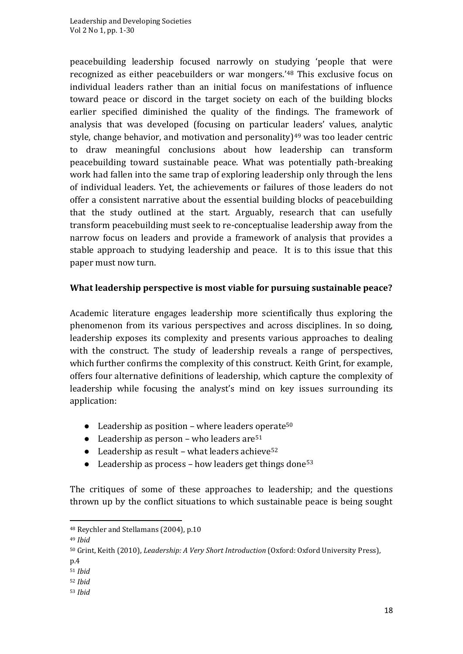peacebuilding leadership focused narrowly on studying 'people that were recognized as either peacebuilders or war mongers.'<sup>48</sup> This exclusive focus on individual leaders rather than an initial focus on manifestations of influence toward peace or discord in the target society on each of the building blocks earlier specified diminished the quality of the findings. The framework of analysis that was developed (focusing on particular leaders' values, analytic style, change behavior, and motivation and personality) $49$  was too leader centric to draw meaningful conclusions about how leadership can transform peacebuilding toward sustainable peace. What was potentially path-breaking work had fallen into the same trap of exploring leadership only through the lens of individual leaders. Yet, the achievements or failures of those leaders do not offer a consistent narrative about the essential building blocks of peacebuilding that the study outlined at the start. Arguably, research that can usefully transform peacebuilding must seek to re-conceptualise leadership away from the narrow focus on leaders and provide a framework of analysis that provides a stable approach to studying leadership and peace. It is to this issue that this paper must now turn.

### **What leadership perspective is most viable for pursuing sustainable peace?**

Academic literature engages leadership more scientifically thus exploring the phenomenon from its various perspectives and across disciplines. In so doing, leadership exposes its complexity and presents various approaches to dealing with the construct. The study of leadership reveals a range of perspectives, which further confirms the complexity of this construct. Keith Grint, for example, offers four alternative definitions of leadership, which capture the complexity of leadership while focusing the analyst's mind on key issues surrounding its application:

- $\bullet$  Leadership as position where leaders operate<sup>50</sup>
- Leadership as person who leaders are  $51$
- Leadership as result what leaders achieve<sup>52</sup>
- Leadership as process how leaders get things done<sup>53</sup>

The critiques of some of these approaches to leadership; and the questions thrown up by the conflict situations to which sustainable peace is being sought

p.4

- <sup>52</sup> *Ibid*
- <sup>53</sup> *Ibid*

<sup>48</sup> Reychler and Stellamans (2004), p.10

<sup>49</sup> *Ibid*

<sup>50</sup> Grint, Keith (2010), *Leadership: A Very Short Introduction* (Oxford: Oxford University Press),

<sup>51</sup> *Ibid*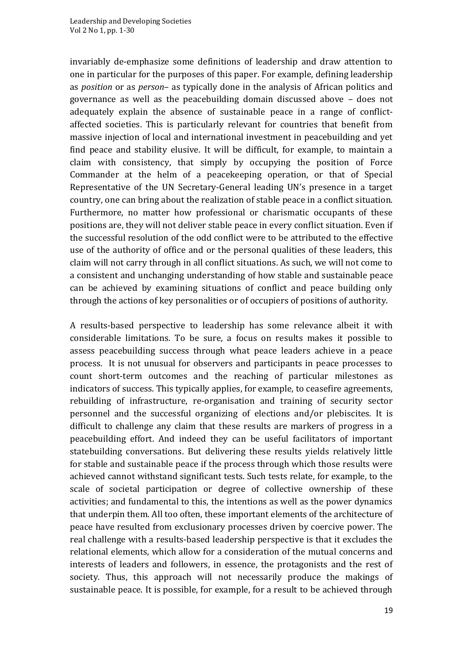invariably de-emphasize some definitions of leadership and draw attention to one in particular for the purposes of this paper. For example, defining leadership as *position* or as *person*– as typically done in the analysis of African politics and governance as well as the peacebuilding domain discussed above – does not adequately explain the absence of sustainable peace in a range of conflictaffected societies. This is particularly relevant for countries that benefit from massive injection of local and international investment in peacebuilding and yet find peace and stability elusive. It will be difficult, for example, to maintain a claim with consistency, that simply by occupying the position of Force Commander at the helm of a peacekeeping operation, or that of Special Representative of the UN Secretary-General leading UN's presence in a target country, one can bring about the realization of stable peace in a conflict situation. Furthermore, no matter how professional or charismatic occupants of these positions are, they will not deliver stable peace in every conflict situation. Even if the successful resolution of the odd conflict were to be attributed to the effective use of the authority of office and or the personal qualities of these leaders, this claim will not carry through in all conflict situations. As such, we will not come to a consistent and unchanging understanding of how stable and sustainable peace can be achieved by examining situations of conflict and peace building only through the actions of key personalities or of occupiers of positions of authority.

A results-based perspective to leadership has some relevance albeit it with considerable limitations. To be sure, a focus on results makes it possible to assess peacebuilding success through what peace leaders achieve in a peace process. It is not unusual for observers and participants in peace processes to count short-term outcomes and the reaching of particular milestones as indicators of success. This typically applies, for example, to ceasefire agreements, rebuilding of infrastructure, re-organisation and training of security sector personnel and the successful organizing of elections and/or plebiscites. It is difficult to challenge any claim that these results are markers of progress in a peacebuilding effort. And indeed they can be useful facilitators of important statebuilding conversations. But delivering these results yields relatively little for stable and sustainable peace if the process through which those results were achieved cannot withstand significant tests. Such tests relate, for example, to the scale of societal participation or degree of collective ownership of these activities; and fundamental to this, the intentions as well as the power dynamics that underpin them. All too often, these important elements of the architecture of peace have resulted from exclusionary processes driven by coercive power. The real challenge with a results-based leadership perspective is that it excludes the relational elements, which allow for a consideration of the mutual concerns and interests of leaders and followers, in essence, the protagonists and the rest of society. Thus, this approach will not necessarily produce the makings of sustainable peace. It is possible, for example, for a result to be achieved through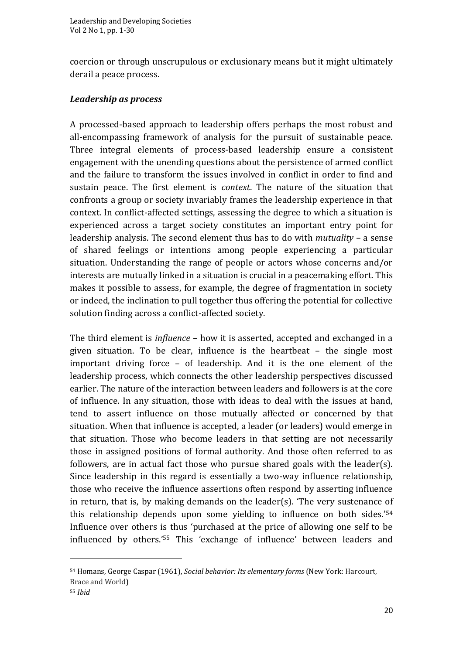coercion or through unscrupulous or exclusionary means but it might ultimately derail a peace process.

#### *Leadership as process*

A processed-based approach to leadership offers perhaps the most robust and all-encompassing framework of analysis for the pursuit of sustainable peace. Three integral elements of process-based leadership ensure a consistent engagement with the unending questions about the persistence of armed conflict and the failure to transform the issues involved in conflict in order to find and sustain peace. The first element is *context*. The nature of the situation that confronts a group or society invariably frames the leadership experience in that context. In conflict-affected settings, assessing the degree to which a situation is experienced across a target society constitutes an important entry point for leadership analysis. The second element thus has to do with *mutuality* – a sense of shared feelings or intentions among people experiencing a particular situation. Understanding the range of people or actors whose concerns and/or interests are mutually linked in a situation is crucial in a peacemaking effort. This makes it possible to assess, for example, the degree of fragmentation in society or indeed, the inclination to pull together thus offering the potential for collective solution finding across a conflict-affected society.

The third element is *influence* – how it is asserted, accepted and exchanged in a given situation. To be clear, influence is the heartbeat – the single most important driving force – of leadership. And it is the one element of the leadership process, which connects the other leadership perspectives discussed earlier. The nature of the interaction between leaders and followers is at the core of influence. In any situation, those with ideas to deal with the issues at hand, tend to assert influence on those mutually affected or concerned by that situation. When that influence is accepted, a leader (or leaders) would emerge in that situation. Those who become leaders in that setting are not necessarily those in assigned positions of formal authority. And those often referred to as followers, are in actual fact those who pursue shared goals with the leader(s). Since leadership in this regard is essentially a two-way influence relationship, those who receive the influence assertions often respond by asserting influence in return, that is, by making demands on the leader(s). 'The very sustenance of this relationship depends upon some yielding to influence on both sides.'<sup>54</sup> Influence over others is thus 'purchased at the price of allowing one self to be influenced by others.'<sup>55</sup> This 'exchange of influence' between leaders and

<sup>54</sup> Homans, George Caspar (1961), *Social behavior: Its elementary forms* (New York: Harcourt, Brace and World)

<sup>55</sup> *Ibid*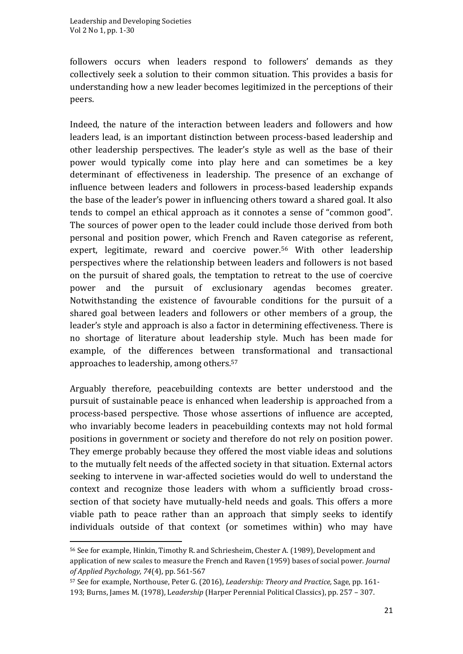followers occurs when leaders respond to followers' demands as they collectively seek a solution to their common situation. This provides a basis for understanding how a new leader becomes legitimized in the perceptions of their peers.

Indeed, the nature of the interaction between leaders and followers and how leaders lead, is an important distinction between process-based leadership and other leadership perspectives. The leader's style as well as the base of their power would typically come into play here and can sometimes be a key determinant of effectiveness in leadership. The presence of an exchange of influence between leaders and followers in process-based leadership expands the base of the leader's power in influencing others toward a shared goal. It also tends to compel an ethical approach as it connotes a sense of "common good". The sources of power open to the leader could include those derived from both personal and position power, which French and Raven categorise as referent, expert, legitimate, reward and coercive power.<sup>56</sup> With other leadership perspectives where the relationship between leaders and followers is not based on the pursuit of shared goals, the temptation to retreat to the use of coercive power and the pursuit of exclusionary agendas becomes greater. Notwithstanding the existence of favourable conditions for the pursuit of a shared goal between leaders and followers or other members of a group, the leader's style and approach is also a factor in determining effectiveness. There is no shortage of literature about leadership style. Much has been made for example, of the differences between transformational and transactional approaches to leadership, among others.<sup>57</sup>

Arguably therefore, peacebuilding contexts are better understood and the pursuit of sustainable peace is enhanced when leadership is approached from a process-based perspective. Those whose assertions of influence are accepted, who invariably become leaders in peacebuilding contexts may not hold formal positions in government or society and therefore do not rely on position power. They emerge probably because they offered the most viable ideas and solutions to the mutually felt needs of the affected society in that situation. External actors seeking to intervene in war-affected societies would do well to understand the context and recognize those leaders with whom a sufficiently broad crosssection of that society have mutually-held needs and goals. This offers a more viable path to peace rather than an approach that simply seeks to identify individuals outside of that context (or sometimes within) who may have

<sup>56</sup> See for example, Hinkin, Timothy R. and Schriesheim, Chester A. (1989), Development and application of new scales to measure the French and Raven (1959) bases of social power. *Journal of Applied Psychology, 74*(4), pp. 561-567

<sup>57</sup> See for example, Northouse, Peter G. (2016), *Leadership: Theory and Practice,* Sage, pp. 161- 193; Burns, James M. (1978), L*eadership* (Harper Perennial Political Classics), pp. 257 – 307.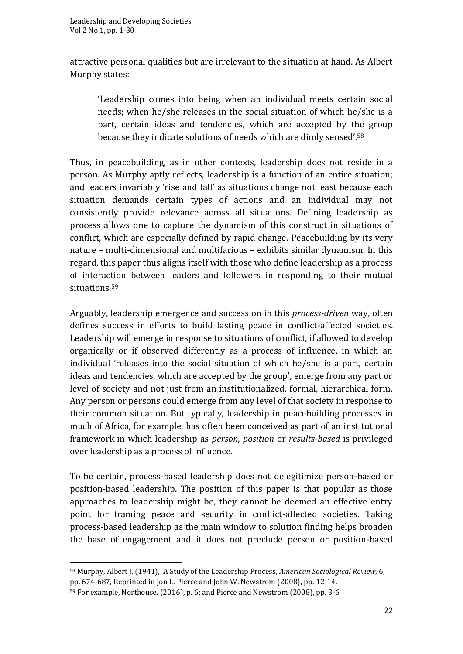attractive personal qualities but are irrelevant to the situation at hand. As Albert Murphy states:

'Leadership comes into being when an individual meets certain social needs; when he/she releases in the social situation of which he/she is a part, certain ideas and tendencies, which are accepted by the group because they indicate solutions of needs which are dimly sensed'.<sup>58</sup>

Thus, in peacebuilding, as in other contexts, leadership does not reside in a person. As Murphy aptly reflects, leadership is a function of an entire situation; and leaders invariably 'rise and fall' as situations change not least because each situation demands certain types of actions and an individual may not consistently provide relevance across all situations. Defining leadership as process allows one to capture the dynamism of this construct in situations of conflict, which are especially defined by rapid change. Peacebuilding by its very nature – multi-dimensional and multifarious – exhibits similar dynamism. In this regard, this paper thus aligns itself with those who define leadership as a process of interaction between leaders and followers in responding to their mutual situations.<sup>59</sup>

Arguably, leadership emergence and succession in this *process-driven* way, often defines success in efforts to build lasting peace in conflict-affected societies. Leadership will emerge in response to situations of conflict, if allowed to develop organically or if observed differently as a process of influence, in which an individual 'releases into the social situation of which he/she is a part, certain ideas and tendencies, which are accepted by the group', emerge from any part or level of society and not just from an institutionalized, formal, hierarchical form. Any person or persons could emerge from any level of that society in response to their common situation. But typically, leadership in peacebuilding processes in much of Africa, for example, has often been conceived as part of an institutional framework in which leadership as *person*, *position* or *results-based* is privileged over leadership as a process of influence.

To be certain, process-based leadership does not delegitimize person-based or position-based leadership. The position of this paper is that popular as those approaches to leadership might be, they cannot be deemed an effective entry point for framing peace and security in conflict-affected societies. Taking process-based leadership as the main window to solution finding helps broaden the base of engagement and it does not preclude person or position-based

<sup>58</sup> Murphy, Albert J. (1941), A Study of the Leadership Process, *American Sociological Review*, 6, pp. 674-687, Reprinted in Jon L. Pierce and John W. Newstrom (2008), pp. 12-14.

<sup>59</sup> For example, Northouse. (2016), p. 6; and Pierce and Newstrom (2008), pp. 3-6.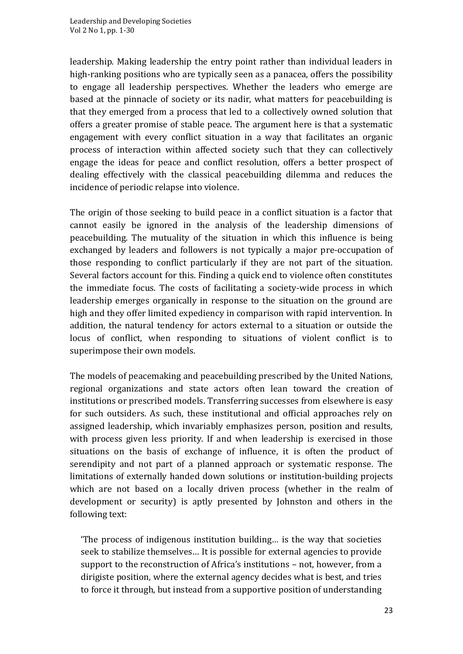leadership. Making leadership the entry point rather than individual leaders in high-ranking positions who are typically seen as a panacea, offers the possibility to engage all leadership perspectives. Whether the leaders who emerge are based at the pinnacle of society or its nadir, what matters for peacebuilding is that they emerged from a process that led to a collectively owned solution that offers a greater promise of stable peace. The argument here is that a systematic engagement with every conflict situation in a way that facilitates an organic process of interaction within affected society such that they can collectively engage the ideas for peace and conflict resolution, offers a better prospect of dealing effectively with the classical peacebuilding dilemma and reduces the incidence of periodic relapse into violence.

The origin of those seeking to build peace in a conflict situation is a factor that cannot easily be ignored in the analysis of the leadership dimensions of peacebuilding. The mutuality of the situation in which this influence is being exchanged by leaders and followers is not typically a major pre-occupation of those responding to conflict particularly if they are not part of the situation. Several factors account for this. Finding a quick end to violence often constitutes the immediate focus. The costs of facilitating a society-wide process in which leadership emerges organically in response to the situation on the ground are high and they offer limited expediency in comparison with rapid intervention. In addition, the natural tendency for actors external to a situation or outside the locus of conflict, when responding to situations of violent conflict is to superimpose their own models.

The models of peacemaking and peacebuilding prescribed by the United Nations, regional organizations and state actors often lean toward the creation of institutions or prescribed models. Transferring successes from elsewhere is easy for such outsiders. As such, these institutional and official approaches rely on assigned leadership, which invariably emphasizes person, position and results, with process given less priority. If and when leadership is exercised in those situations on the basis of exchange of influence, it is often the product of serendipity and not part of a planned approach or systematic response. The limitations of externally handed down solutions or institution-building projects which are not based on a locally driven process (whether in the realm of development or security) is aptly presented by Johnston and others in the following text:

'The process of indigenous institution building… is the way that societies seek to stabilize themselves… It is possible for external agencies to provide support to the reconstruction of Africa's institutions – not, however, from a dirigiste position, where the external agency decides what is best, and tries to force it through, but instead from a supportive position of understanding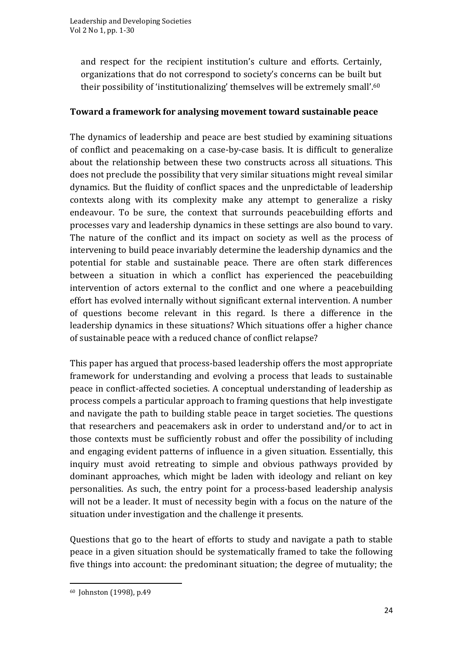and respect for the recipient institution's culture and efforts. Certainly, organizations that do not correspond to society's concerns can be built but their possibility of 'institutionalizing' themselves will be extremely small'.<sup>60</sup>

### **Toward a framework for analysing movement toward sustainable peace**

The dynamics of leadership and peace are best studied by examining situations of conflict and peacemaking on a case-by-case basis. It is difficult to generalize about the relationship between these two constructs across all situations. This does not preclude the possibility that very similar situations might reveal similar dynamics. But the fluidity of conflict spaces and the unpredictable of leadership contexts along with its complexity make any attempt to generalize a risky endeavour. To be sure, the context that surrounds peacebuilding efforts and processes vary and leadership dynamics in these settings are also bound to vary. The nature of the conflict and its impact on society as well as the process of intervening to build peace invariably determine the leadership dynamics and the potential for stable and sustainable peace. There are often stark differences between a situation in which a conflict has experienced the peacebuilding intervention of actors external to the conflict and one where a peacebuilding effort has evolved internally without significant external intervention. A number of questions become relevant in this regard. Is there a difference in the leadership dynamics in these situations? Which situations offer a higher chance of sustainable peace with a reduced chance of conflict relapse?

This paper has argued that process-based leadership offers the most appropriate framework for understanding and evolving a process that leads to sustainable peace in conflict-affected societies. A conceptual understanding of leadership as process compels a particular approach to framing questions that help investigate and navigate the path to building stable peace in target societies. The questions that researchers and peacemakers ask in order to understand and/or to act in those contexts must be sufficiently robust and offer the possibility of including and engaging evident patterns of influence in a given situation. Essentially, this inquiry must avoid retreating to simple and obvious pathways provided by dominant approaches, which might be laden with ideology and reliant on key personalities. As such, the entry point for a process-based leadership analysis will not be a leader. It must of necessity begin with a focus on the nature of the situation under investigation and the challenge it presents.

Questions that go to the heart of efforts to study and navigate a path to stable peace in a given situation should be systematically framed to take the following five things into account: the predominant situation; the degree of mutuality; the

<sup>60</sup> Johnston (1998), p.49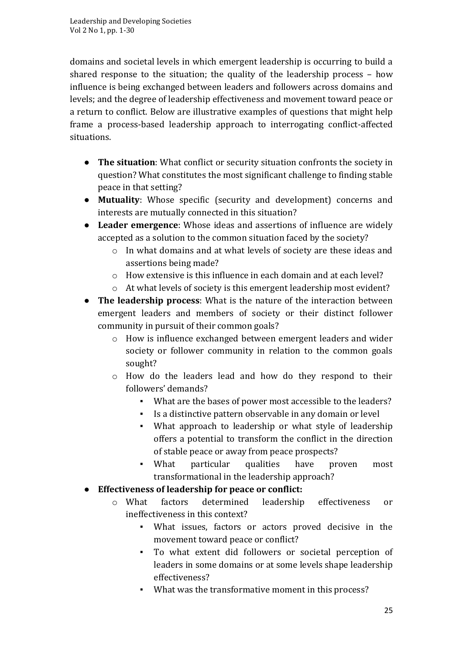domains and societal levels in which emergent leadership is occurring to build a shared response to the situation; the quality of the leadership process – how influence is being exchanged between leaders and followers across domains and levels; and the degree of leadership effectiveness and movement toward peace or a return to conflict. Below are illustrative examples of questions that might help frame a process-based leadership approach to interrogating conflict-affected situations.

- **The situation**: What conflict or security situation confronts the society in question? What constitutes the most significant challenge to finding stable peace in that setting?
- **Mutuality**: Whose specific (security and development) concerns and interests are mutually connected in this situation?
- **Leader emergence**: Whose ideas and assertions of influence are widely accepted as a solution to the common situation faced by the society?
	- o In what domains and at what levels of society are these ideas and assertions being made?
	- o How extensive is this influence in each domain and at each level?
	- o At what levels of society is this emergent leadership most evident?
- **The leadership process**: What is the nature of the interaction between emergent leaders and members of society or their distinct follower community in pursuit of their common goals?
	- o How is influence exchanged between emergent leaders and wider society or follower community in relation to the common goals sought?
	- o How do the leaders lead and how do they respond to their followers' demands?
		- What are the bases of power most accessible to the leaders?
		- Is a distinctive pattern observable in any domain or level
		- What approach to leadership or what style of leadership offers a potential to transform the conflict in the direction of stable peace or away from peace prospects?
		- What particular qualities have proven most transformational in the leadership approach?
- **Effectiveness of leadership for peace or conflict:** 
	- o What factors determined leadership effectiveness or ineffectiveness in this context?
		- What issues, factors or actors proved decisive in the movement toward peace or conflict?
		- To what extent did followers or societal perception of leaders in some domains or at some levels shape leadership effectiveness?
		- What was the transformative moment in this process?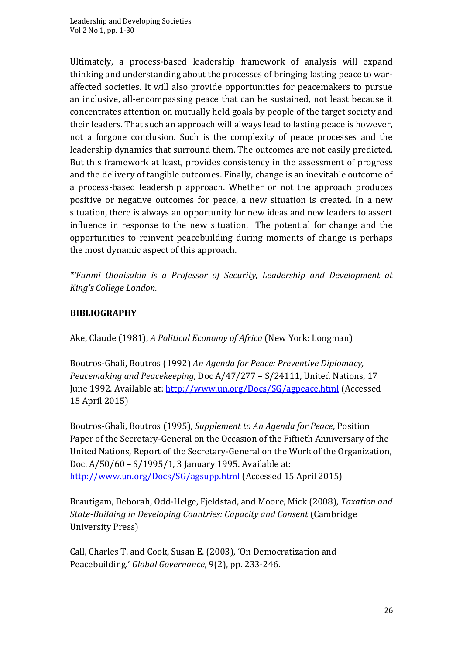Ultimately, a process-based leadership framework of analysis will expand thinking and understanding about the processes of bringing lasting peace to waraffected societies. It will also provide opportunities for peacemakers to pursue an inclusive, all-encompassing peace that can be sustained, not least because it concentrates attention on mutually held goals by people of the target society and their leaders. That such an approach will always lead to lasting peace is however, not a forgone conclusion. Such is the complexity of peace processes and the leadership dynamics that surround them. The outcomes are not easily predicted. But this framework at least, provides consistency in the assessment of progress and the delivery of tangible outcomes. Finally, change is an inevitable outcome of a process-based leadership approach. Whether or not the approach produces positive or negative outcomes for peace, a new situation is created. In a new situation, there is always an opportunity for new ideas and new leaders to assert influence in response to the new situation. The potential for change and the opportunities to reinvent peacebuilding during moments of change is perhaps the most dynamic aspect of this approach.

*\*'Funmi Olonisakin is a Professor of Security, Leadership and Development at King's College London.*

### **BIBLIOGRAPHY**

Ake, Claude (1981), *A Political Economy of Africa* (New York: Longman)

Boutros-Ghali, Boutros (1992) *An Agenda for Peace: Preventive Diplomacy, Peacemaking and Peacekeeping*, Doc A/47/277 – S/24111, United Nations, 17 June 1992. Available at: <http://www.un.org/Docs/SG/agpeace.html> (Accessed 15 April 2015)

Boutros-Ghali, Boutros (1995), *Supplement to An Agenda for Peace*, Position Paper of the Secretary-General on the Occasion of the Fiftieth Anniversary of the United Nations, Report of the Secretary-General on the Work of the Organization, Doc. A/50/60 – S/1995/1, 3 January 1995. Available at: <http://www.un.org/Docs/SG/agsupp.html> (Accessed 15 April 2015)

Brautigam, Deborah, Odd-Helge, Fjeldstad, and Moore, Mick (2008), *Taxation and State-Building in Developing Countries: Capacity and Consent* (Cambridge University Press)

Call, Charles T. and Cook, Susan E. (2003), 'On Democratization and Peacebuilding.' *Global Governance*, 9(2), pp. 233-246.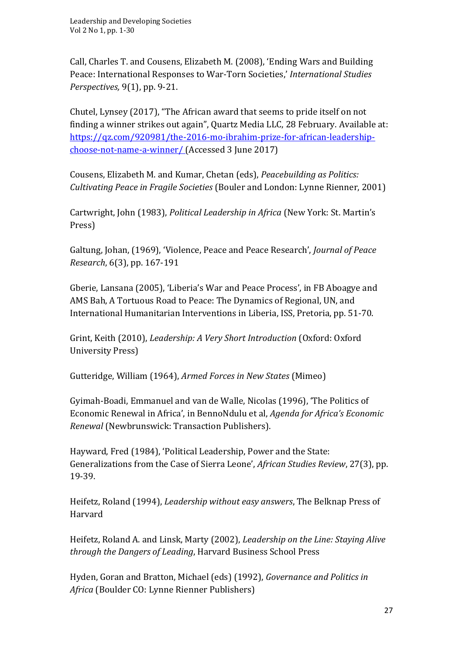Call, Charles T. and Cousens, Elizabeth M. (2008), 'Ending Wars and Building Peace: International Responses to War-Torn Societies,' *International Studies Perspectives,* 9(1), pp. 9-21.

Chutel, Lynsey (2017), "The African award that seems to pride itself on not finding a winner strikes out again", Quartz Media LLC, 28 February. Available at: [https://qz.com/920981/the-2016-mo-ibrahim-prize-for-african-leadership](https://qz.com/920981/the-2016-mo-ibrahim-prize-for-african-leadership-choose-not-name-a-winner/)[choose-not-name-a-winner/](https://qz.com/920981/the-2016-mo-ibrahim-prize-for-african-leadership-choose-not-name-a-winner/) (Accessed 3 June 2017)

Cousens, Elizabeth M. and Kumar, Chetan (eds), *Peacebuilding as Politics: Cultivating Peace in Fragile Societies* (Bouler and London: Lynne Rienner, 2001)

Cartwright, John (1983), *Political Leadership in Africa* (New York: St. Martin's Press)

Galtung, Johan, (1969), 'Violence, Peace and Peace Research', *Journal of Peace Research*, 6(3), pp. 167-191

Gberie, Lansana (2005), 'Liberia's War and Peace Process', in FB Aboagye and AMS Bah, A Tortuous Road to Peace: The Dynamics of Regional, UN, and International Humanitarian Interventions in Liberia, ISS, Pretoria, pp. 51-70.

Grint, Keith (2010), *Leadership: A Very Short Introduction* (Oxford: Oxford University Press)

Gutteridge, William (1964), *Armed Forces in New States* (Mimeo)

Gyimah-Boadi, Emmanuel and van de Walle, Nicolas (1996), 'The Politics of Economic Renewal in Africa', in BennoNdulu et al, *Agenda for Africa's Economic Renewal* (Newbrunswick: Transaction Publishers).

Hayward, Fred (1984), 'Political Leadership, Power and the State: Generalizations from the Case of Sierra Leone', *African Studies Review*, 27(3), pp. 19-39.

Heifetz, Roland (1994), *Leadership without easy answers*, The Belknap Press of Harvard

Heifetz, Roland A. and Linsk, Marty (2002), *Leadership on the Line: Staying Alive through the Dangers of Leading*, Harvard Business School Press

Hyden, Goran and Bratton, Michael (eds) (1992), *Governance and Politics in Africa* (Boulder CO: Lynne Rienner Publishers)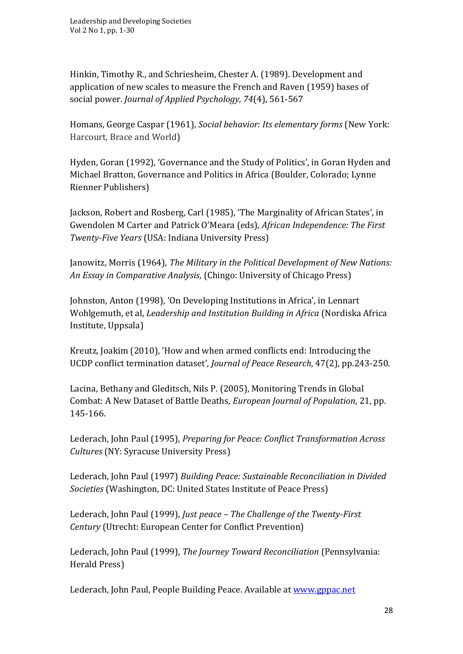Hinkin, Timothy R., and Schriesheim, Chester A. (1989). Development and application of new scales to measure the French and Raven (1959) bases of social power. *Journal of Applied Psychology, 74*(4), 561-567

Homans, George Caspar (1961), *Social behavior: Its elementary forms* (New York: Harcourt, Brace and World)

Hyden, Goran (1992), 'Governance and the Study of Politics', in Goran Hyden and Michael Bratton, Governance and Politics in Africa (Boulder, Colorado; Lynne Rienner Publishers)

Jackson, Robert and Rosberg, Carl (1985), 'The Marginality of African States', in Gwendolen M Carter and Patrick O'Meara (eds), *African Independence: The First Twenty-Five Years* (USA: Indiana University Press)

Janowitz, Morris (1964), *The Military in the Political Development of New Nations: An Essay in Comparative Analysis*, (Chingo: University of Chicago Press)

Johnston, Anton (1998), 'On Developing Institutions in Africa', in Lennart Wohlgemuth, et al, *Leadership and Institution Building in Africa* (Nordiska Africa Institute, Uppsala)

Kreutz, Joakim (2010), 'How and when armed conflicts end: Introducing the UCDP conflict termination dataset', *Journal of Peace Research*, 47(2), pp.243-250.

Lacina, Bethany and Gleditsch, Nils P. (2005), Monitoring Trends in Global Combat: A New Dataset of Battle Deaths, *European Journal of Population*, 21, pp. 145-166.

Lederach, John Paul (1995), *Preparing for Peace: Conflict Transformation Across Cultures* (NY: Syracuse University Press)

Lederach, John Paul (1997) *Building Peace: Sustainable Reconciliation in Divided Societies* (Washington, DC: United States Institute of Peace Press)

Lederach, John Paul (1999), *Just peace – The Challenge of the Twenty-First Century* (Utrecht: European Center for Conflict Prevention)

Lederach, John Paul (1999), *The Journey Toward Reconciliation* (Pennsylvania: Herald Press)

Lederach, John Paul, People Building Peace. Available at [www.gppac.net](http://www.gppac.net/)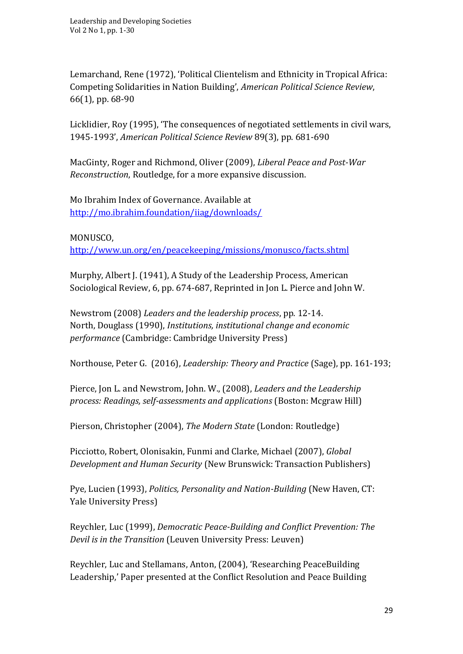Lemarchand, Rene (1972), 'Political Clientelism and Ethnicity in Tropical Africa: Competing Solidarities in Nation Building', *American Political Science Review*, 66(1), pp. 68-90

Licklidier, Roy (1995), 'The consequences of negotiated settlements in civil wars, 1945-1993', *American Political Science Review* 89(3), pp. 681-690

MacGinty, Roger and Richmond, Oliver (2009), *Liberal Peace and Post-War Reconstruction*, Routledge, for a more expansive discussion.

Mo Ibrahim Index of Governance. Available at <http://mo.ibrahim.foundation/iiag/downloads/>

MONUSCO,

<http://www.un.org/en/peacekeeping/missions/monusco/facts.shtml>

Murphy, Albert J. (1941), A Study of the Leadership Process, American Sociological Review, 6, pp. 674-687, Reprinted in Jon L. Pierce and John W.

Newstrom (2008) *Leaders and the leadership process*, pp. 12-14. North, Douglass (1990), *Institutions, institutional change and economic performance* (Cambridge: Cambridge University Press)

Northouse, Peter G. (2016), *Leadership: Theory and Practice* (Sage), pp. 161-193;

Pierce, Jon L. and Newstrom, John. W., (2008), *Leaders and the Leadership process: Readings, self-assessments and applications* (Boston: Mcgraw Hill)

Pierson, Christopher (2004), *The Modern State* (London: Routledge)

Picciotto, Robert, Olonisakin, Funmi and Clarke, Michael (2007), *Global Development and Human Security* (New Brunswick: Transaction Publishers)

Pye, Lucien (1993), *Politics, Personality and Nation-Building* (New Haven, CT: Yale University Press)

Reychler, Luc (1999), *Democratic Peace-Building and Conflict Prevention: The Devil is in the Transition* (Leuven University Press: Leuven)

Reychler, Luc and Stellamans, Anton, (2004), 'Researching PeaceBuilding Leadership,' Paper presented at the Conflict Resolution and Peace Building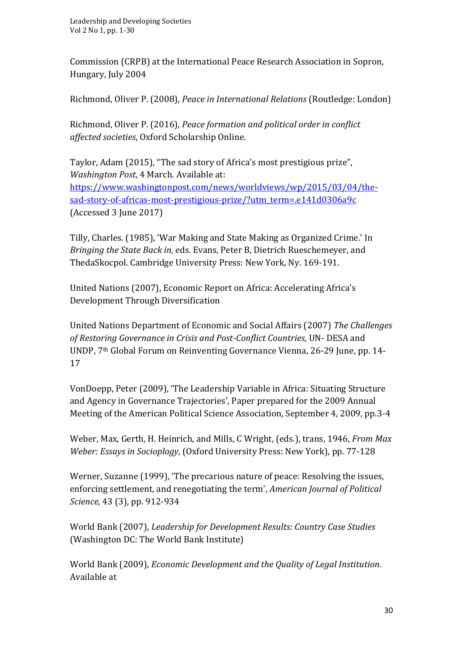Commission (CRPB) at the International Peace Research Association in Sopron, Hungary, July 2004

Richmond, Oliver P. (2008), *Peace in International Relations* (Routledge: London)

Richmond, Oliver P. (2016), *Peace formation and political order in conflict affected societies*, Oxford Scholarship Online.

Taylor, Adam (2015), "The sad story of Africa's most prestigious prize", *Washington Post*, 4 March. Available at: [https://www.washingtonpost.com/news/worldviews/wp/2015/03/04/the](https://www.washingtonpost.com/news/worldviews/wp/2015/03/04/the-sad-story-of-africas-most-prestigious-prize/?utm_term=.e141d0306a9c)[sad-story-of-africas-most-prestigious-prize/?utm\\_term=.e141d0306a9c](https://www.washingtonpost.com/news/worldviews/wp/2015/03/04/the-sad-story-of-africas-most-prestigious-prize/?utm_term=.e141d0306a9c) (Accessed 3 June 2017)

Tilly, Charles. (1985), 'War Making and State Making as Organized Crime.' In *Bringing the State Back in, e*ds. Evans, Peter B, Dietrich Rueschemeyer, and ThedaSkocpol. Cambridge University Press: New York, Ny. 169-191.

United Nations (2007), Economic Report on Africa: Accelerating Africa's Development Through Diversification

United Nations Department of Economic and Social Affairs (2007) *The Challenges of Restoring Governance in Crisis and Post-Conflict Countries,* UN- DESA and UNDP, 7th Global Forum on Reinventing Governance Vienna, 26-29 June, pp. 14- 17

VonDoepp, Peter (2009), 'The Leadership Variable in Africa: Situating Structure and Agency in Governance Trajectories', Paper prepared for the 2009 Annual Meeting of the American Political Science Association, September 4, 2009, pp.3-4

Weber, Max, Gerth, H. Heinrich, and Mills, C Wright, (eds.), trans, 1946, *From Max Weber: Essays in Socioplogy,* (Oxford University Press: New York), pp. 77-128

Werner, Suzanne (1999), 'The precarious nature of peace: Resolving the issues, enforcing settlement, and renegotiating the term', *American Journal of Political Science,* 43 (3), pp. 912-934

World Bank (2007), *Leadership for Development Results: Country Case Studies* (Washington DC: The World Bank Institute)

World Bank (2009), *Economic Development and the Quality of Legal Institution.* Available at